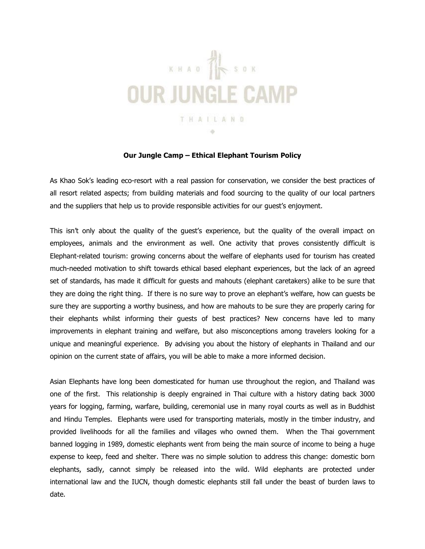

## **Our Jungle Camp – Ethical Elephant Tourism Policy**

As Khao Sok's leading eco-resort with a real passion for conservation, we consider the best practices of all resort related aspects; from building materials and food sourcing to the quality of our local partners and the suppliers that help us to provide responsible activities for our guest's enjoyment.

This isn't only about the quality of the guest's experience, but the quality of the overall impact on employees, animals and the environment as well. One activity that proves consistently difficult is Elephant-related tourism: growing concerns about the welfare of elephants used for tourism has created much-needed motivation to shift towards ethical based elephant experiences, but the lack of an agreed set of standards, has made it difficult for guests and mahouts (elephant caretakers) alike to be sure that they are doing the right thing. If there is no sure way to prove an elephant's welfare, how can guests be sure they are supporting a worthy business, and how are mahouts to be sure they are properly caring for their elephants whilst informing their guests of best practices? New concerns have led to many improvements in elephant training and welfare, but also misconceptions among travelers looking for a unique and meaningful experience. By advising you about the history of elephants in Thailand and our opinion on the current state of affairs, you will be able to make a more informed decision.

Asian Elephants have long been domesticated for human use throughout the region, and Thailand was one of the first. This relationship is deeply engrained in Thai culture with a history dating back 3000 years for logging, farming, warfare, building, ceremonial use in many royal courts as well as in Buddhist and Hindu Temples. Elephants were used for transporting materials, mostly in the timber industry, and provided livelihoods for all the families and villages who owned them. When the Thai government banned logging in 1989, domestic elephants went from being the main source of income to being a huge expense to keep, feed and shelter. There was no simple solution to address this change: domestic born elephants, sadly, cannot simply be released into the wild. Wild elephants are protected under international law and the IUCN, though domestic elephants still fall under the beast of burden laws to date.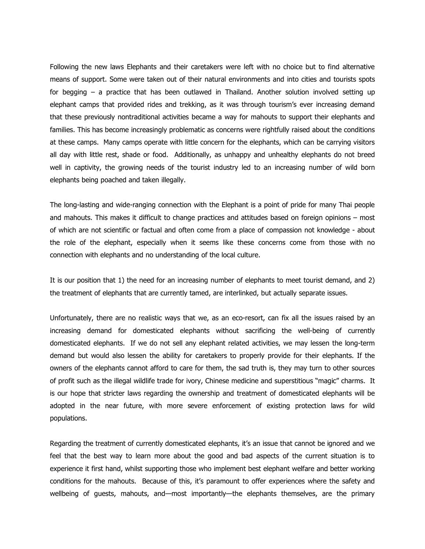Following the new laws Elephants and their caretakers were left with no choice but to find alternative means of support. Some were taken out of their natural environments and into cities and tourists spots for begging – a practice that has been outlawed in Thailand. Another solution involved setting up elephant camps that provided rides and trekking, as it was through tourism's ever increasing demand that these previously nontraditional activities became a way for mahouts to support their elephants and families. This has become increasingly problematic as concerns were rightfully raised about the conditions at these camps. Many camps operate with little concern for the elephants, which can be carrying visitors all day with little rest, shade or food. Additionally, as unhappy and unhealthy elephants do not breed well in captivity, the growing needs of the tourist industry led to an increasing number of wild born elephants being poached and taken illegally.

The long-lasting and wide-ranging connection with the Elephant is a point of pride for many Thai people and mahouts. This makes it difficult to change practices and attitudes based on foreign opinions – most of which are not scientific or factual and often come from a place of compassion not knowledge - about the role of the elephant, especially when it seems like these concerns come from those with no connection with elephants and no understanding of the local culture.

It is our position that 1) the need for an increasing number of elephants to meet tourist demand, and 2) the treatment of elephants that are currently tamed, are interlinked, but actually separate issues.

Unfortunately, there are no realistic ways that we, as an eco-resort, can fix all the issues raised by an increasing demand for domesticated elephants without sacrificing the well-being of currently domesticated elephants. If we do not sell any elephant related activities, we may lessen the long-term demand but would also lessen the ability for caretakers to properly provide for their elephants. If the owners of the elephants cannot afford to care for them, the sad truth is, they may turn to other sources of profit such as the illegal wildlife trade for ivory, Chinese medicine and superstitious "magic" charms. It is our hope that stricter laws regarding the ownership and treatment of domesticated elephants will be adopted in the near future, with more severe enforcement of existing protection laws for wild populations.

Regarding the treatment of currently domesticated elephants, it's an issue that cannot be ignored and we feel that the best way to learn more about the good and bad aspects of the current situation is to experience it first hand, whilst supporting those who implement best elephant welfare and better working conditions for the mahouts. Because of this, it's paramount to offer experiences where the safety and wellbeing of guests, mahouts, and—most importantly—the elephants themselves, are the primary